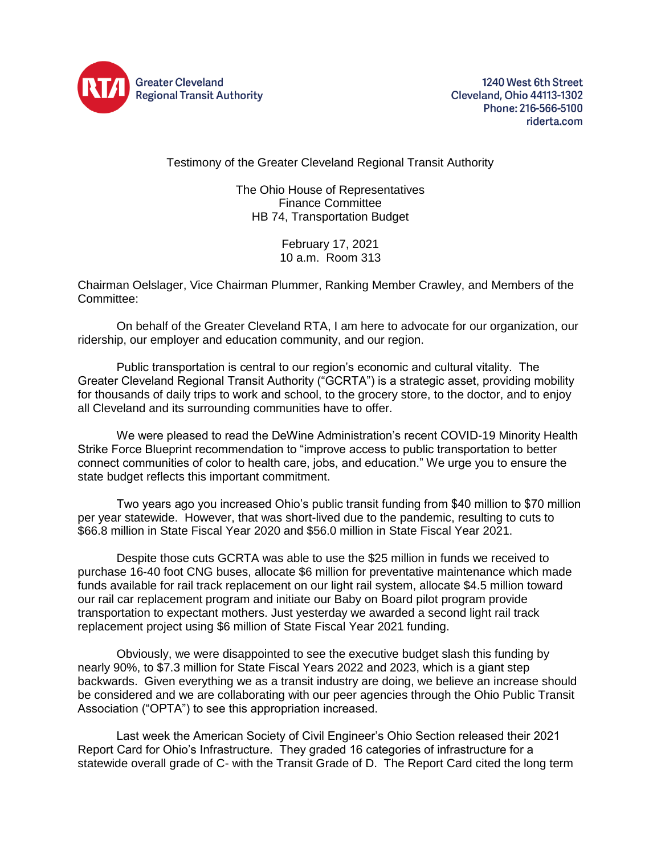

1240 West 6th Street Cleveland, Ohio 44113-1302 Phone: 216-566-5100 riderta.com

Testimony of the Greater Cleveland Regional Transit Authority

The Ohio House of Representatives Finance Committee HB 74, Transportation Budget

> February 17, 2021 10 a.m. Room 313

Chairman Oelslager, Vice Chairman Plummer, Ranking Member Crawley, and Members of the Committee:

On behalf of the Greater Cleveland RTA, I am here to advocate for our organization, our ridership, our employer and education community, and our region.

Public transportation is central to our region's economic and cultural vitality. The Greater Cleveland Regional Transit Authority ("GCRTA") is a strategic asset, providing mobility for thousands of daily trips to work and school, to the grocery store, to the doctor, and to enjoy all Cleveland and its surrounding communities have to offer.

We were pleased to read the DeWine Administration's recent COVID-19 Minority Health Strike Force Blueprint recommendation to "improve access to public transportation to better connect communities of color to health care, jobs, and education." We urge you to ensure the state budget reflects this important commitment.

Two years ago you increased Ohio's public transit funding from \$40 million to \$70 million per year statewide. However, that was short-lived due to the pandemic, resulting to cuts to \$66.8 million in State Fiscal Year 2020 and \$56.0 million in State Fiscal Year 2021.

Despite those cuts GCRTA was able to use the \$25 million in funds we received to purchase 16-40 foot CNG buses, allocate \$6 million for preventative maintenance which made funds available for rail track replacement on our light rail system, allocate \$4.5 million toward our rail car replacement program and initiate our Baby on Board pilot program provide transportation to expectant mothers. Just yesterday we awarded a second light rail track replacement project using \$6 million of State Fiscal Year 2021 funding.

Obviously, we were disappointed to see the executive budget slash this funding by nearly 90%, to \$7.3 million for State Fiscal Years 2022 and 2023, which is a giant step backwards. Given everything we as a transit industry are doing, we believe an increase should be considered and we are collaborating with our peer agencies through the Ohio Public Transit Association ("OPTA") to see this appropriation increased.

Last week the American Society of Civil Engineer's Ohio Section released their 2021 Report Card for Ohio's Infrastructure. They graded 16 categories of infrastructure for a statewide overall grade of C- with the Transit Grade of D. The Report Card cited the long term